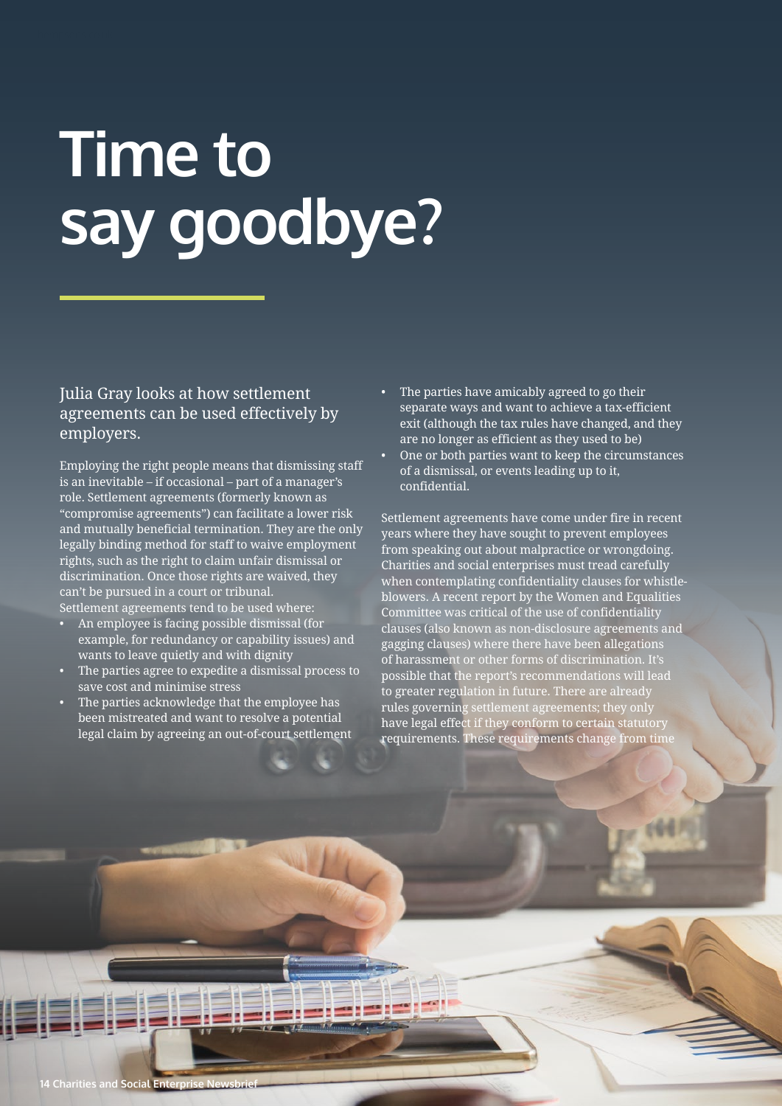## **Time to say goodbye?**

## Julia Gray looks at how settlement agreements can be used effectively by employers.

Employing the right people means that dismissing staff is an inevitable – if occasional – part of a manager's role. Settlement agreements (formerly known as "compromise agreements") can facilitate a lower risk and mutually beneficial termination. They are the only legally binding method for staff to waive employment rights, such as the right to claim unfair dismissal or discrimination. Once those rights are waived, they can't be pursued in a court or tribunal.

Settlement agreements tend to be used where:

- An employee is facing possible dismissal (for example, for redundancy or capability issues) and wants to leave quietly and with dignity
- The parties agree to expedite a dismissal process to save cost and minimise stress
- The parties acknowledge that the employee has been mistreated and want to resolve a potential legal claim by agreeing an out-of-court settlement
- The parties have amicably agreed to go their separate ways and want to achieve a tax-efficient exit (although the tax rules have changed, and they are no longer as efficient as they used to be)
- One or both parties want to keep the circumstances of a dismissal, or events leading up to it, confidential.

Settlement agreements have come under fire in recent years where they have sought to prevent employees from speaking out about malpractice or wrongdoing. Charities and social enterprises must tread carefully when contemplating confidentiality clauses for whistleblowers. A recent report by the Women and Equalities Committee was critical of the use of confidentiality clauses (also known as non-disclosure agreements and gagging clauses) where there have been allegations of harassment or other forms of discrimination. It's possible that the report's recommendations will lead to greater regulation in future. There are already rules governing settlement agreements; they only have legal effect if they conform to certain statutory requirements. These requirements change from time